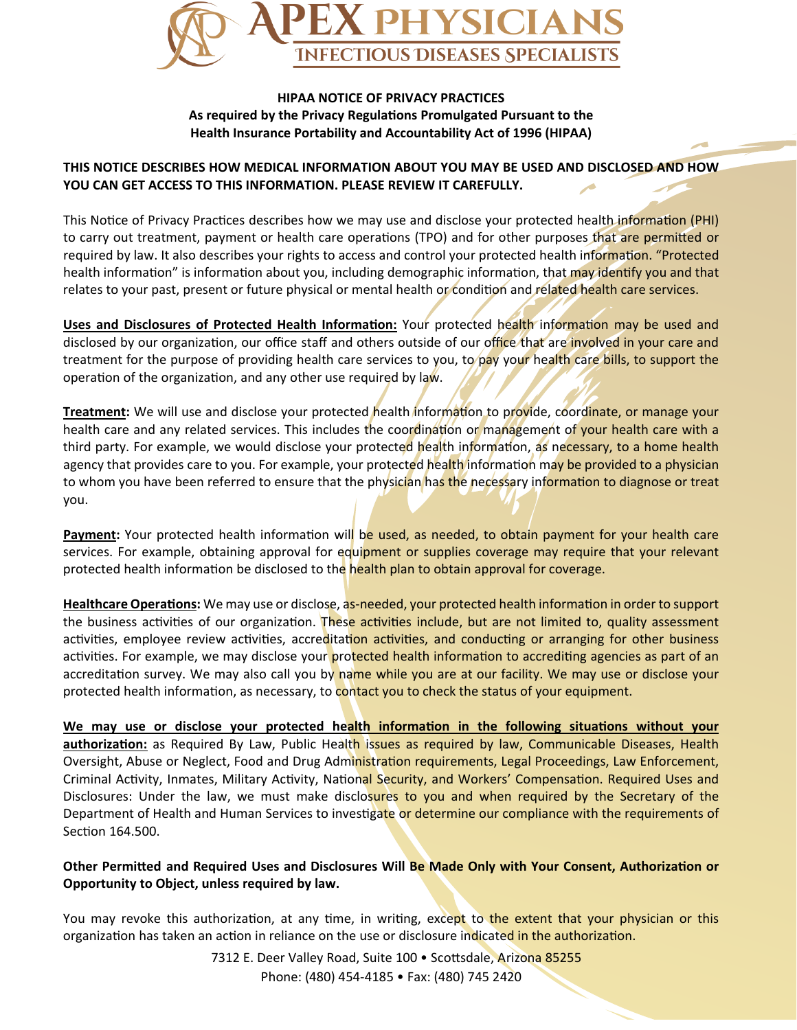

## **HIPAA NOTICE OF PRIVACY PRACTICES** As required by the Privacy Regulations Promulgated Pursuant to the Health Insurance Portability and Accountability Act of 1996 (HIPAA)

## THIS NOTICE DESCRIBES HOW MEDICAL INFORMATION ABOUT YOU MAY BE USED AND DISCLOSED AND HOW YOU CAN GET ACCESS TO THIS INFORMATION. PLEASE REVIEW IT CAREFULLY.

This Notice of Privacy Practices describes how we may use and disclose your protected health information (PHI) to carry out treatment, payment or health care operations (TPO) and for other purposes that are permitted or required by law. It also describes your rights to access and control your protected health information. "Protected health information" is information about you, including demographic information, that may identify you and that relates to your past, present or future physical or mental health or condition and related health care services.

Uses and Disclosures of Protected Health Information: Your protected health information may be used and disclosed by our organization, our office staff and others outside of our office that are involved in your care and treatment for the purpose of providing health care services to you, to pay your health care bills, to support the operation of the organization, and any other use required by law.

Treatment: We will use and disclose your protected health information to provide, coordinate, or manage your health care and any related services. This includes the coordination or management of your health care with a third party. For example, we would disclose your protected health information, as necessary, to a home health agency that provides care to you. For example, your protected health information may be provided to a physician to whom you have been referred to ensure that the physician has the necessary information to diagnose or treat you.

Payment: Your protected health information will be used, as needed, to obtain payment for your health care services. For example, obtaining approval for equipment or supplies coverage may require that your relevant protected health information be disclosed to the health plan to obtain approval for coverage.

Healthcare Operations: We may use or disclose, as-needed, your protected health information in order to support the business activities of our organization. These activities include, but are not limited to, quality assessment activities, employee review activities, accreditation activities, and conducting or arranging for other business activities. For example, we may disclose your protected health information to accrediting agencies as part of an accreditation survey. We may also call you by name while you are at our facility. We may use or disclose your protected health information, as necessary, to contact you to check the status of your equipment.

We may use or disclose your protected health information in the following situations without your authorization: as Required By Law, Public Health issues as required by law, Communicable Diseases, Health Oversight, Abuse or Neglect, Food and Drug Administration requirements, Legal Proceedings, Law Enforcement, Criminal Activity, Inmates, Military Activity, National Security, and Workers' Compensation. Required Uses and Disclosures: Under the law, we must make disclosures to you and when required by the Secretary of the Department of Health and Human Services to investigate or determine our compliance with the requirements of Section 164.500.

## Other Permitted and Required Uses and Disclosures Will Be Made Only with Your Consent, Authorization or Opportunity to Object, unless required by law.

You may revoke this authorization, at any time, in writing, except to the extent that your physician or this organization has taken an action in reliance on the use or disclosure indicated in the authorization.

> 7312 E. Deer Valley Road, Suite 100 · Scottsdale, Arizona 85255 Phone: (480) 454-4185 • Fax: (480) 745 2420